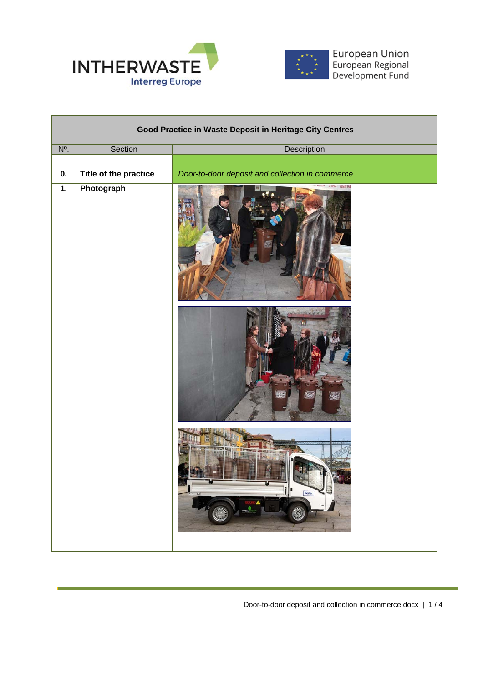



European Union<br>European Regional<br>Development Fund

| Good Practice in Waste Deposit in Heritage City Centres |                       |                                                 |  |  |
|---------------------------------------------------------|-----------------------|-------------------------------------------------|--|--|
| $\overline{N^0}$ .                                      | Section               | Description                                     |  |  |
| 0.                                                      | Title of the practice | Door-to-door deposit and collection in commerce |  |  |
| $\overline{1}$ .                                        | Photograph            |                                                 |  |  |
|                                                         |                       | Porto.<br>Ô                                     |  |  |

Door-to-door deposit and collection in commerce.docx | 1 / 4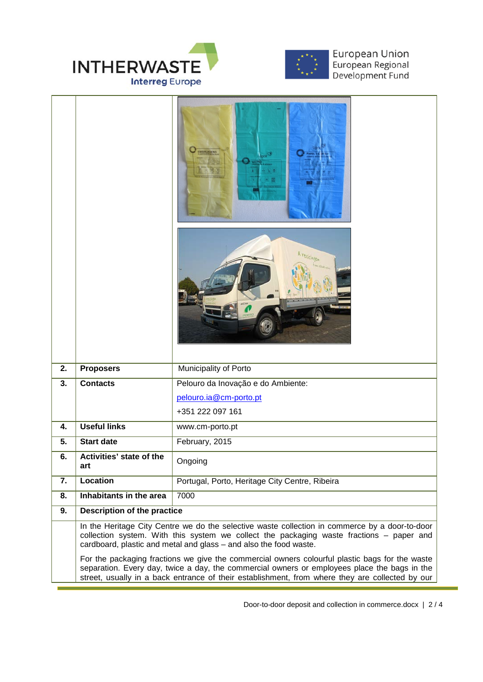



European Union<br>European Regional<br>Development Fund

| 2. | <b>Proposers</b>                                                                                                                                                                                                                                                                                  | Municipality of Porto                          |  |
|----|---------------------------------------------------------------------------------------------------------------------------------------------------------------------------------------------------------------------------------------------------------------------------------------------------|------------------------------------------------|--|
| 3. | <b>Contacts</b>                                                                                                                                                                                                                                                                                   | Pelouro da Inovação e do Ambiente:             |  |
|    |                                                                                                                                                                                                                                                                                                   | pelouro.ia@cm-porto.pt                         |  |
|    |                                                                                                                                                                                                                                                                                                   | +351 222 097 161                               |  |
| 4. | <b>Useful links</b>                                                                                                                                                                                                                                                                               | www.cm-porto.pt                                |  |
| 5. | <b>Start date</b>                                                                                                                                                                                                                                                                                 | February, 2015                                 |  |
| 6. | Activities' state of the<br>art                                                                                                                                                                                                                                                                   | Ongoing                                        |  |
| 7. | Location                                                                                                                                                                                                                                                                                          | Portugal, Porto, Heritage City Centre, Ribeira |  |
| 8. | Inhabitants in the area                                                                                                                                                                                                                                                                           | 7000                                           |  |
| 9. | Description of the practice                                                                                                                                                                                                                                                                       |                                                |  |
|    | In the Heritage City Centre we do the selective waste collection in commerce by a door-to-door<br>collection system. With this system we collect the packaging waste fractions - paper and<br>cardboard, plastic and metal and glass - and also the food waste.                                   |                                                |  |
|    | For the packaging fractions we give the commercial owners colourful plastic bags for the waste<br>separation. Every day, twice a day, the commercial owners or employees place the bags in the<br>street, usually in a back entrance of their establishment, from where they are collected by our |                                                |  |

Door-to-door deposit and collection in commerce.docx | 2 / 4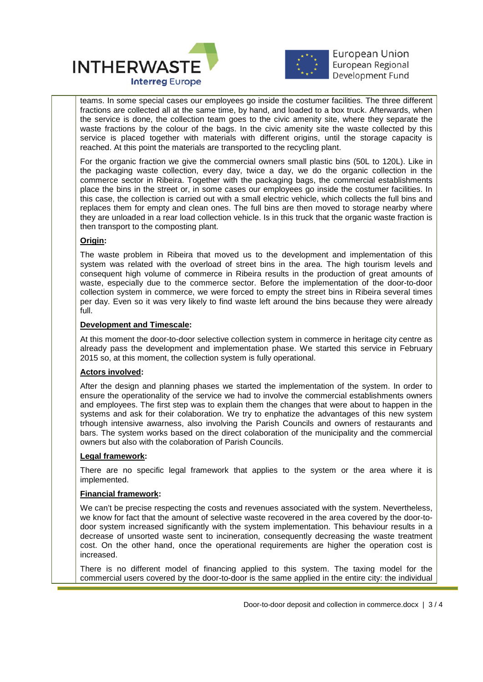



**European Union** European Regional Development Fund

l, teams. In some special cases our employees go inside the costumer facilities. The three different fractions are collected all at the same time, by hand, and loaded to a box truck. Afterwards, when the service is done, the collection team goes to the civic amenity site, where they separate the waste fractions by the colour of the bags. In the civic amenity site the waste collected by this service is placed together with materials with different origins, until the storage capacity is reached. At this point the materials are transported to the recycling plant.

For the organic fraction we give the commercial owners small plastic bins (50L to 120L). Like in the packaging waste collection, every day, twice a day, we do the organic collection in the commerce sector in Ribeira. Together with the packaging bags, the commercial establishments place the bins in the street or, in some cases our employees go inside the costumer facilities. In this case, the collection is carried out with a small electric vehicle, which collects the full bins and replaces them for empty and clean ones. The full bins are then moved to storage nearby where they are unloaded in a rear load collection vehicle. Is in this truck that the organic waste fraction is then transport to the composting plant.

# **Origin:**

The waste problem in Ribeira that moved us to the development and implementation of this system was related with the overload of street bins in the area. The high tourism levels and consequent high volume of commerce in Ribeira results in the production of great amounts of waste, especially due to the commerce sector. Before the implementation of the door-to-door collection system in commerce, we were forced to empty the street bins in Ribeira several times per day. Even so it was very likely to find waste left around the bins because they were already full.

## **Development and Timescale:**

At this moment the door-to-door selective collection system in commerce in heritage city centre as already pass the development and implementation phase. We started this service in February 2015 so, at this moment, the collection system is fully operational.

## **Actors involved:**

After the design and planning phases we started the implementation of the system. In order to ensure the operationality of the service we had to involve the commercial establishments owners and employees. The first step was to explain them the changes that were about to happen in the systems and ask for their colaboration. We try to enphatize the advantages of this new system trhough intensive awarness, also involving the Parish Councils and owners of restaurants and bars. The system works based on the direct colaboration of the municipality and the commercial owners but also with the colaboration of Parish Councils.

## **Legal framework:**

There are no specific legal framework that applies to the system or the area where it is implemented.

## **Financial framework:**

We can't be precise respecting the costs and revenues associated with the system. Nevertheless, we know for fact that the amount of selective waste recovered in the area covered by the door-todoor system increased significantly with the system implementation. This behaviour results in a decrease of unsorted waste sent to incineration, consequently decreasing the waste treatment cost. On the other hand, once the operational requirements are higher the operation cost is increased.

There is no different model of financing applied to this system. The taxing model for the commercial users covered by the door-to-door is the same applied in the entire city: the individual